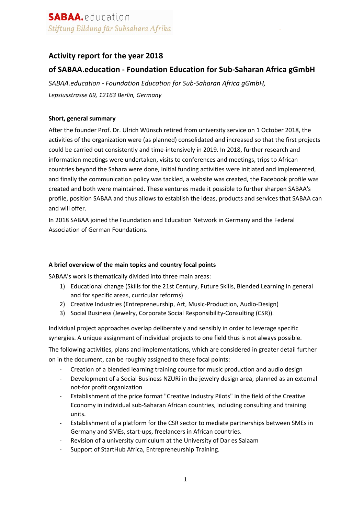## **Activity report for the year 2018**

### **of SABAA.education - Foundation Education for Sub-Saharan Africa gGmbH**

*SABAA.education - Foundation Education for Sub-Saharan Africa gGmbH, Lepsiusstrasse 69, 12163 Berlin, Germany*

### **Short, general summary**

After the founder Prof. Dr. Ulrich Wünsch retired from university service on 1 October 2018, the activities of the organization were (as planned) consolidated and increased so that the first projects could be carried out consistently and time-intensively in 2019. In 2018, further research and information meetings were undertaken, visits to conferences and meetings, trips to African countries beyond the Sahara were done, initial funding activities were initiated and implemented, and finally the communication policy was tackled, a website was created, the Facebook profile was created and both were maintained. These ventures made it possible to further sharpen SABAA's profile, position SABAA and thus allows to establish the ideas, products and services that SABAA can and will offer.

In 2018 SABAA joined the Foundation and Education Network in Germany and the Federal Association of German Foundations.

#### **A brief overview of the main topics and country focal points**

SABAA's work is thematically divided into three main areas:

- 1) Educational change (Skills for the 21st Century, Future Skills, Blended Learning in general and for specific areas, curricular reforms)
- 2) Creative Industries (Entrepreneurship, Art, Music-Production, Audio-Design)
- 3) Social Business (Jewelry, Corporate Social Responsibility-Consulting (CSR)).

Individual project approaches overlap deliberately and sensibly in order to leverage specific synergies. A unique assignment of individual projects to one field thus is not always possible.

The following activities, plans and implementations, which are considered in greater detail further on in the document, can be roughly assigned to these focal points:

- Creation of a blended learning training course for music production and audio design
- Development of a Social Business NZURi in the jewelry design area, planned as an external not-for profit organization
- Establishment of the price format "Creative Industry Pilots" in the field of the Creative Economy in individual sub-Saharan African countries, including consulting and training units.
- Establishment of a platform for the CSR sector to mediate partnerships between SMEs in Germany and SMEs, start-ups, freelancers in African countries.
- Revision of a university curriculum at the University of Dar es Salaam
- Support of StartHub Africa, Entrepreneurship Training.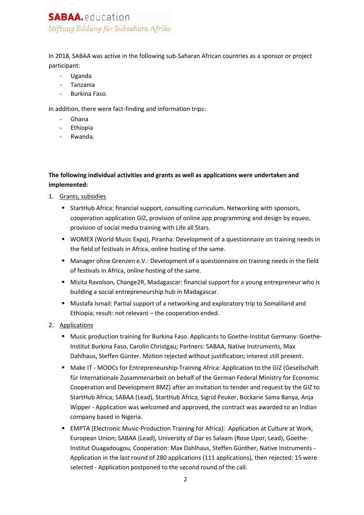# **SABAA.** education Stiftung Bildung für Subsahara Afrika

In 2018, SABAA was active in the following sub-Saharan African countries as a sponsor or project participant:

- Uganda
- Tanzania
- Burkina Faso.

In addition, there were fact-finding and information trips:

- Ghana
- Ethiopia
- Rwanda.

### **The following individual activities and grants as well as applications were undertaken and implemented:**

- 1. Grants, subsidies
	- StartHub Africa: financial support, consulting curriculum. Networking with sponsors, cooperation application GIZ, provision of online app programming and design by equeo, provision of social media training with Life all Stars.
	- WOMEX (World Music Expo), Piranha: Development of a questionnaire on training needs in the field of festivals in Africa, online hosting of the same.
	- Manager ohne Grenzen e.V.: Development of a questionnaire on training needs in the field of festivals in Africa, online hosting of the same.
	- Misita Ravolson, Change2R, Madagascar: financial support for a young entrepreneur who is building a social entrepreneurship hub in Madagascar.
	- § Mustafa Ismail: Partial support of a networking and exploratory trip to Somaliland and Ethiopia; result: not relevant – the cooperation ended.
- 2. Applications
	- **■** Music production training for Burkina Faso. Applicants to Goethe-Institut Germany: Goethe-Institut Burkina Faso, Carolin Christgau; Partners: SABAA, Native Instruments, Max Dahlhaus, Steffen Günter. Motion rejected without justification; interest still present.
	- Make IT MOOCs for Entrepreneurship-Training Africa: Application to the GIZ (Gesellschaft für Internationale Zusammenarbeit on behalf of the German Federal Ministry for Economic Cooperation and Development BMZ) after an invitation to tender and request by the GIZ to StartHub Africa; SABAA (Lead), StartHub Africa, Sigrid Peuker, Bockarie Sama Banya, Anja Wipper - Application was welcomed and approved, the contract was awarded to an Indian company based in Nigeria.
	- EMPTA (Electronic Music-Production Training for Africa): Application at Culture at Work, European Union; SABAA (Lead), University of Dar es Salaam (Rose Upor, Lead), Goethe-Institut Ouagadougou, Cooperation: Max Dahlhaus, Steffen Günther, Native Instruments - Application in the last round of 280 applications (111 applications), then rejected: 15 were selected - Application postponed to the second round of the call.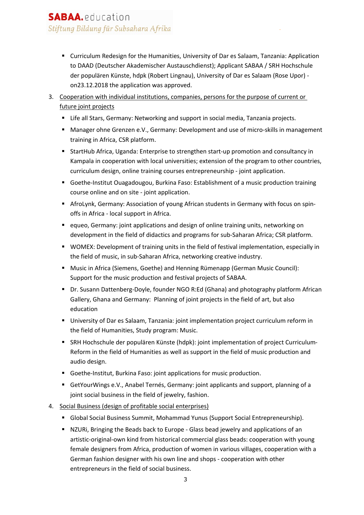- Curriculum Redesign for the Humanities, University of Dar es Salaam, Tanzania: Application to DAAD (Deutscher Akademischer Austauschdienst); Applicant SABAA / SRH Hochschule der populären Künste, hdpk (Robert Lingnau), University of Dar es Salaam (Rose Upor) on23.12.2018 the application was approved.
- 3. Cooperation with individual institutions, companies, persons for the purpose of current or future joint projects
	- Life all Stars, Germany: Networking and support in social media, Tanzania projects.
	- Manager ohne Grenzen e.V., Germany: Development and use of micro-skills in management training in Africa, CSR platform.
	- § StartHub Africa, Uganda: Enterprise to strengthen start-up promotion and consultancy in Kampala in cooperation with local universities; extension of the program to other countries, curriculum design, online training courses entrepreneurship - joint application.
	- Goethe-Institut Ouagadougou, Burkina Faso: Establishment of a music production training course online and on site - joint application.
	- **AfroLynk, Germany: Association of young African students in Germany with focus on spin**offs in Africa - local support in Africa.
	- equeo, Germany: joint applications and design of online training units, networking on development in the field of didactics and programs for sub-Saharan Africa; CSR platform.
	- § WOMEX: Development of training units in the field of festival implementation, especially in the field of music, in sub-Saharan Africa, networking creative industry.
	- Music in Africa (Siemens, Goethe) and Henning Rümenapp (German Music Council): Support for the music production and festival projects of SABAA.
	- Dr. Susann Dattenberg-Doyle, founder NGO R:Ed (Ghana) and photography platform African Gallery, Ghana and Germany: Planning of joint projects in the field of art, but also education
	- University of Dar es Salaam, Tanzania: joint implementation project curriculum reform in the field of Humanities, Study program: Music.
	- § SRH Hochschule der populären Künste (hdpk): joint implementation of project Curriculum-Reform in the field of Humanities as well as support in the field of music production and audio design.
	- Goethe-Institut, Burkina Faso: joint applications for music production.
	- GetYourWings e.V., Anabel Ternés, Germany: joint applicants and support, planning of a joint social business in the field of jewelry, fashion.
- 4. Social Business (design of profitable social enterprises)
	- Global Social Business Summit, Mohammad Yunus (Support Social Entrepreneurship).
	- NZURi, Bringing the Beads back to Europe Glass bead jewelry and applications of an artistic-original-own kind from historical commercial glass beads: cooperation with young female designers from Africa, production of women in various villages, cooperation with a German fashion designer with his own line and shops - cooperation with other entrepreneurs in the field of social business.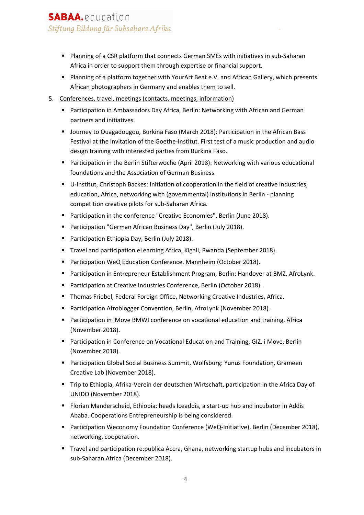# **SABAA.** education Stiftung Bildung für Subsahara Afrika

- Planning of a CSR platform that connects German SMEs with initiatives in sub-Saharan Africa in order to support them through expertise or financial support.
- Planning of a platform together with YourArt Beat e.V. and African Gallery, which presents African photographers in Germany and enables them to sell.
- 5. Conferences, travel, meetings (contacts, meetings, information)
	- Participation in Ambassadors Day Africa, Berlin: Networking with African and German partners and initiatives.
	- § Journey to Ouagadougou, Burkina Faso (March 2018): Participation in the African Bass Festival at the invitation of the Goethe-Institut. First test of a music production and audio design training with interested parties from Burkina Faso.
	- Participation in the Berlin Stifterwoche (April 2018): Networking with various educational foundations and the Association of German Business.
	- U-Institut, Christoph Backes: Initiation of cooperation in the field of creative industries, education, Africa, networking with (governmental) institutions in Berlin - planning competition creative pilots for sub-Saharan Africa.
	- Participation in the conference "Creative Economies", Berlin (June 2018).
	- Participation "German African Business Day", Berlin (July 2018).
	- Participation Ethiopia Day, Berlin (July 2018).
	- § Travel and participation eLearning Africa, Kigali, Rwanda (September 2018).
	- Participation WeQ Education Conference, Mannheim (October 2018).
	- Participation in Entrepreneur Establishment Program, Berlin: Handover at BMZ, AfroLynk.
	- Participation at Creative Industries Conference, Berlin (October 2018).
	- Thomas Friebel, Federal Foreign Office, Networking Creative Industries, Africa.
	- Participation Afroblogger Convention, Berlin, AfroLynk (November 2018).
	- Participation in iMove BMWI conference on vocational education and training, Africa (November 2018).
	- Participation in Conference on Vocational Education and Training, GIZ, i Move, Berlin (November 2018).
	- Participation Global Social Business Summit, Wolfsburg: Yunus Foundation, Grameen Creative Lab (November 2018).
	- § Trip to Ethiopia, Afrika-Verein der deutschen Wirtschaft, participation in the Africa Day of UNIDO (November 2018).
	- Florian Manderscheid, Ethiopia: heads Iceaddis, a start-up hub and incubator in Addis Ababa. Cooperations Entrepreneurship is being considered.
	- Participation Weconomy Foundation Conference (WeQ-Initiative), Berlin (December 2018), networking, cooperation.
	- Travel and participation re:publica Accra, Ghana, networking startup hubs and incubators in sub-Saharan Africa (December 2018).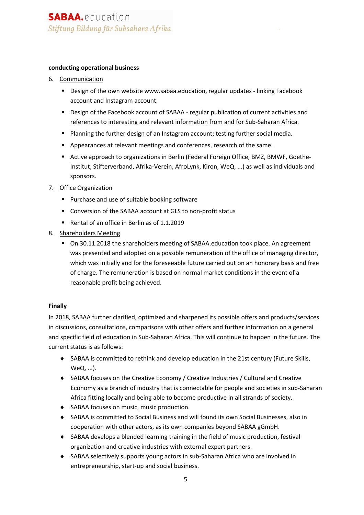#### **conducting operational business**

- 6. Communication
	- Design of the own website www.sabaa.education, regular updates linking Facebook account and Instagram account.
	- Design of the Facebook account of SABAA regular publication of current activities and references to interesting and relevant information from and for Sub-Saharan Africa.
	- Planning the further design of an Instagram account; testing further social media.
	- § Appearances at relevant meetings and conferences, research of the same.
	- Active approach to organizations in Berlin (Federal Foreign Office, BMZ, BMWF, Goethe-Institut, Stifterverband, Afrika-Verein, AfroLynk, Kiron, WeQ, ...) as well as individuals and sponsors.
- 7. Office Organization
	- Purchase and use of suitable booking software
	- Conversion of the SABAA account at GLS to non-profit status
	- Rental of an office in Berlin as of 1.1.2019
- 8. Shareholders Meeting
	- On 30.11.2018 the shareholders meeting of SABAA.education took place. An agreement was presented and adopted on a possible remuneration of the office of managing director, which was initially and for the foreseeable future carried out on an honorary basis and free of charge. The remuneration is based on normal market conditions in the event of a reasonable profit being achieved.

#### **Finally**

In 2018, SABAA further clarified, optimized and sharpened its possible offers and products/services in discussions, consultations, comparisons with other offers and further information on a general and specific field of education in Sub-Saharan Africa. This will continue to happen in the future. The current status is as follows:

- $\bullet$  SABAA is committed to rethink and develop education in the 21st century (Future Skills, WeQ, ...).
- SABAA focuses on the Creative Economy / Creative Industries / Cultural and Creative Economy as a branch of industry that is connectable for people and societies in sub-Saharan Africa fitting locally and being able to become productive in all strands of society.
- ◆ SABAA focuses on music, music production.
- ◆ SABAA is committed to Social Business and will found its own Social Businesses, also in cooperation with other actors, as its own companies beyond SABAA gGmbH.
- ◆ SABAA develops a blended learning training in the field of music production, festival organization and creative industries with external expert partners.
- ◆ SABAA selectively supports young actors in sub-Saharan Africa who are involved in entrepreneurship, start-up and social business.